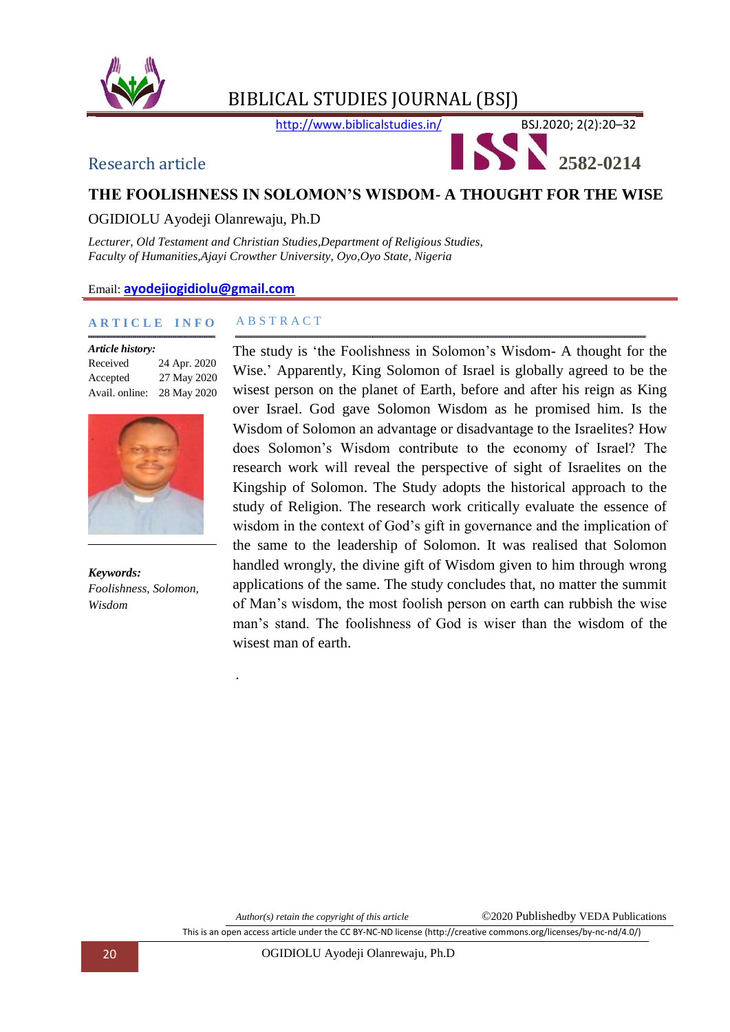



## **THE FOOLISHNESS IN SOLOMON'S WISDOM- A THOUGHT FOR THE WISE**

## OGIDIOLU Ayodeji Olanrewaju, Ph.D

*Lecturer, Old Testament and Christian Studies,Department of Religious Studies, Faculty of Humanities,Ajayi Crowther University, Oyo,Oyo State, Nigeria*

#### Email: **[ayodejiogidiolu@gmail.com](mailto:ayodejiogidiolu@gmail.com)**

#### **A R T I C L E I N F O**

| Article history: |              |
|------------------|--------------|
| Received         | 24 Apr. 2020 |
| Accepted         | 27 May 2020  |
| Avail. online:   | 28 May 2020  |



*Keywords: Foolishness, Solomon, Wisdom*

#### A B S T R A C T

*.*

The study is "the Foolishness in Solomon"s Wisdom- A thought for the Wise." Apparently, King Solomon of Israel is globally agreed to be the wisest person on the planet of Earth, before and after his reign as King over Israel. God gave Solomon Wisdom as he promised him. Is the Wisdom of Solomon an advantage or disadvantage to the Israelites? How does Solomon"s Wisdom contribute to the economy of Israel? The research work will reveal the perspective of sight of Israelites on the Kingship of Solomon. The Study adopts the historical approach to the study of Religion. The research work critically evaluate the essence of wisdom in the context of God's gift in governance and the implication of the same to the leadership of Solomon. It was realised that Solomon handled wrongly, the divine gift of Wisdom given to him through wrong applications of the same. The study concludes that, no matter the summit of Man"s wisdom, the most foolish person on earth can rubbish the wise man"s stand. The foolishness of God is wiser than the wisdom of the wisest man of earth.

*Author(s) retain the copyright of this article* ©2020 Publishedby VEDA Publications

This is an open access article under the CC BY-NC-ND license (http://creative commons.org/licenses/by-nc-nd/4.0/)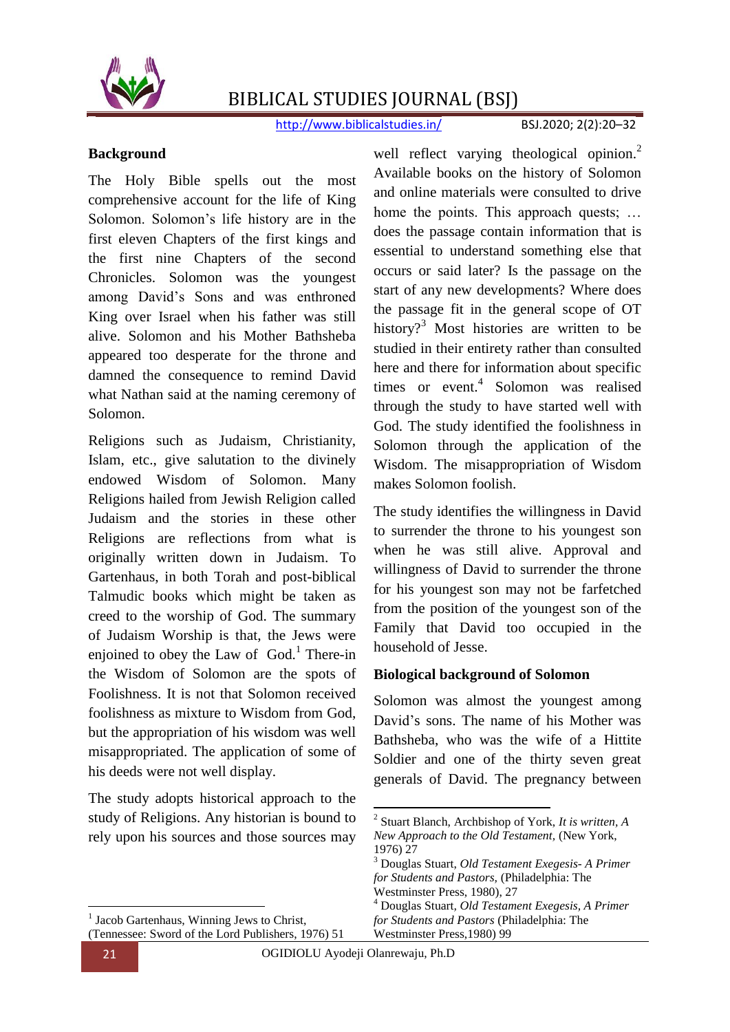

http://www.biblicalstudies.in/ BSJ.2020; 2(2):20-32

#### **Background**

The Holy Bible spells out the most comprehensive account for the life of King Solomon. Solomon"s life history are in the first eleven Chapters of the first kings and the first nine Chapters of the second Chronicles. Solomon was the youngest among David"s Sons and was enthroned King over Israel when his father was still alive. Solomon and his Mother Bathsheba appeared too desperate for the throne and damned the consequence to remind David what Nathan said at the naming ceremony of Solomon.

Religions such as Judaism, Christianity, Islam, etc., give salutation to the divinely endowed Wisdom of Solomon. Many Religions hailed from Jewish Religion called Judaism and the stories in these other Religions are reflections from what is originally written down in Judaism. To Gartenhaus, in both Torah and post-biblical Talmudic books which might be taken as creed to the worship of God. The summary of Judaism Worship is that, the Jews were enjoined to obey the Law of  $God.1$ <sup>1</sup> There-in the Wisdom of Solomon are the spots of Foolishness. It is not that Solomon received foolishness as mixture to Wisdom from God, but the appropriation of his wisdom was well misappropriated. The application of some of his deeds were not well display.

The study adopts historical approach to the study of Religions. Any historian is bound to rely upon his sources and those sources may

well reflect varying theological opinion.<sup>2</sup> Available books on the history of Solomon and online materials were consulted to drive home the points. This approach quests; ... does the passage contain information that is essential to understand something else that occurs or said later? Is the passage on the start of any new developments? Where does the passage fit in the general scope of OT history?<sup>3</sup> Most histories are written to be studied in their entirety rather than consulted here and there for information about specific times or event.<sup>4</sup> Solomon was realised through the study to have started well with God. The study identified the foolishness in Solomon through the application of the Wisdom. The misappropriation of Wisdom makes Solomon foolish.

The study identifies the willingness in David to surrender the throne to his youngest son when he was still alive. Approval and willingness of David to surrender the throne for his youngest son may not be farfetched from the position of the youngest son of the Family that David too occupied in the household of Jesse.

#### **Biological background of Solomon**

Solomon was almost the youngest among David"s sons. The name of his Mother was Bathsheba, who was the wife of a Hittite Soldier and one of the thirty seven great generals of David. The pregnancy between

2 Stuart Blanch, Archbishop of York, *It is written, A* 

1

 $\overline{a}$ 1

Jacob Gartenhaus, Winning Jews to Christ, (Tennessee: Sword of the Lord Publishers, 1976) 51 *New Approach to the Old Testament,* (New York, 1976) 27 <sup>3</sup> Douglas Stuart, *Old Testament Exegesis- A Primer for Students and Pastors,* (Philadelphia: The Westminster Press, 1980), 27 <sup>4</sup> Douglas Stuart*, Old Testament Exegesis, A Primer for Students and Pastors* (Philadelphia: The Westminster Press,1980) 99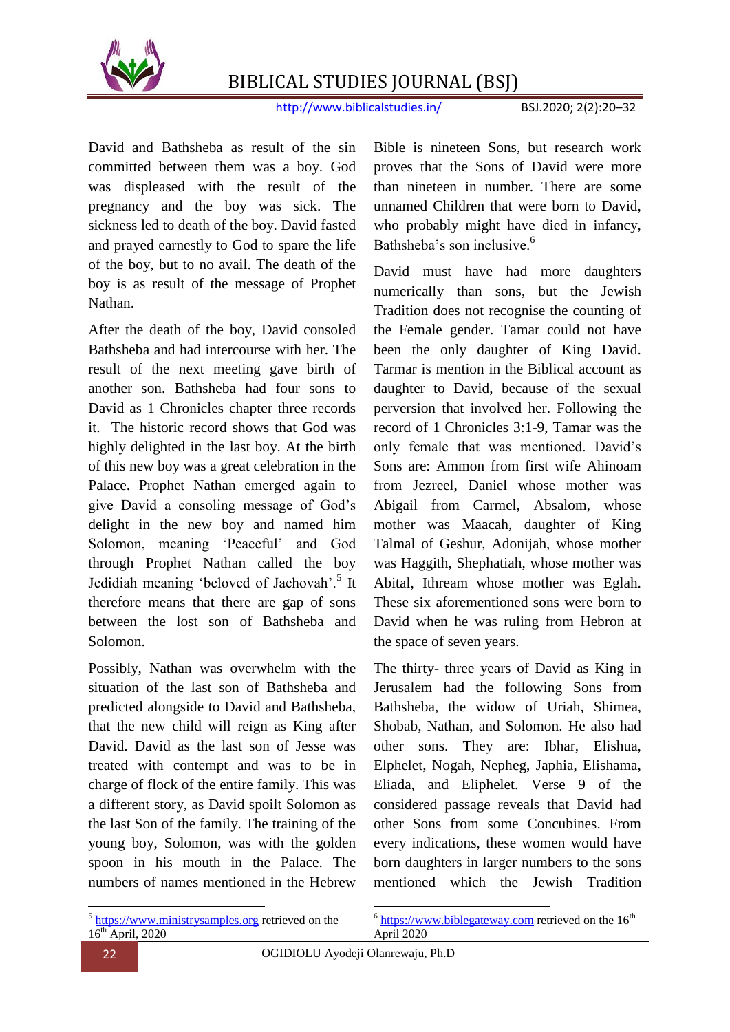

http://www.biblicalstudies.in/ BSJ.2020; 2(2):20–32

David and Bathsheba as result of the sin committed between them was a boy. God was displeased with the result of the pregnancy and the boy was sick. The sickness led to death of the boy. David fasted and prayed earnestly to God to spare the life of the boy, but to no avail. The death of the boy is as result of the message of Prophet Nathan.

After the death of the boy, David consoled Bathsheba and had intercourse with her. The result of the next meeting gave birth of another son. Bathsheba had four sons to David as 1 Chronicles chapter three records it. The historic record shows that God was highly delighted in the last boy. At the birth of this new boy was a great celebration in the Palace. Prophet Nathan emerged again to give David a consoling message of God"s delight in the new boy and named him Solomon, meaning 'Peaceful' and God through Prophet Nathan called the boy Jedidiah meaning 'beloved of Jaehovah'.<sup>5</sup> It therefore means that there are gap of sons between the lost son of Bathsheba and Solomon.

Possibly, Nathan was overwhelm with the situation of the last son of Bathsheba and predicted alongside to David and Bathsheba, that the new child will reign as King after David. David as the last son of Jesse was treated with contempt and was to be in charge of flock of the entire family. This was a different story, as David spoilt Solomon as the last Son of the family. The training of the young boy, Solomon, was with the golden spoon in his mouth in the Palace. The numbers of names mentioned in the Hebrew

Bible is nineteen Sons, but research work proves that the Sons of David were more than nineteen in number. There are some unnamed Children that were born to David, who probably might have died in infancy, Bathsheba's son inclusive.<sup>6</sup>

David must have had more daughters numerically than sons, but the Jewish Tradition does not recognise the counting of the Female gender. Tamar could not have been the only daughter of King David. Tarmar is mention in the Biblical account as daughter to David, because of the sexual perversion that involved her. Following the record of 1 Chronicles 3:1-9, Tamar was the only female that was mentioned. David"s Sons are: Ammon from first wife Ahinoam from Jezreel, Daniel whose mother was Abigail from Carmel, Absalom, whose mother was Maacah, daughter of King Talmal of Geshur, Adonijah, whose mother was Haggith, Shephatiah, whose mother was Abital, Ithream whose mother was Eglah. These six aforementioned sons were born to David when he was ruling from Hebron at the space of seven years.

The thirty- three years of David as King in Jerusalem had the following Sons from Bathsheba, the widow of Uriah, Shimea, Shobab, Nathan, and Solomon. He also had other sons. They are: Ibhar, Elishua, Elphelet, Nogah, Nepheg, Japhia, Elishama, Eliada, and Eliphelet. Verse 9 of the considered passage reveals that David had other Sons from some Concubines. From every indications, these women would have born daughters in larger numbers to the sons mentioned which the Jewish Tradition

 $\overline{a}$ <sup>5</sup> [https://www.ministrysamples.org](https://www.ministrysamples.org/) retrieved on the  $16^{th}$  April, 2020 1  $6$  [https://www.biblegateway.com](https://www.biblegateway.com/) retrieved on the  $16^{th}$ April 2020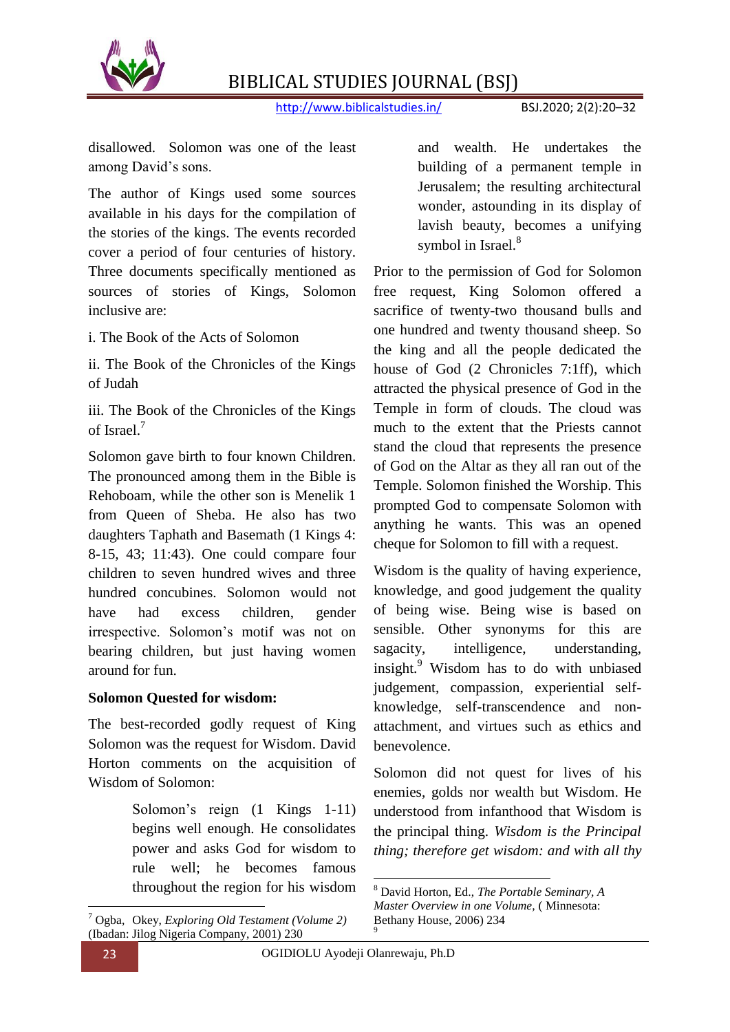

http://www.biblicalstudies.in/ BSJ.2020; 2(2):20–32

disallowed. Solomon was one of the least among David"s sons.

The author of Kings used some sources available in his days for the compilation of the stories of the kings. The events recorded cover a period of four centuries of history. Three documents specifically mentioned as sources of stories of Kings, Solomon inclusive are:

i. The Book of the Acts of Solomon

ii. The Book of the Chronicles of the Kings of Judah

iii. The Book of the Chronicles of the Kings of Israel.<sup>7</sup>

Solomon gave birth to four known Children. The pronounced among them in the Bible is Rehoboam, while the other son is Menelik 1 from Queen of Sheba. He also has two daughters Taphath and Basemath (1 Kings 4: 8-15, 43; 11:43). One could compare four children to seven hundred wives and three hundred concubines. Solomon would not have had excess children, gender irrespective. Solomon"s motif was not on bearing children, but just having women around for fun.

### **Solomon Quested for wisdom:**

The best-recorded godly request of King Solomon was the request for Wisdom. David Horton comments on the acquisition of Wisdom of Solomon:

> Solomon's reign  $(1 \text{ Kings } 1-11)$ begins well enough. He consolidates power and asks God for wisdom to rule well; he becomes famous throughout the region for his wisdom

and wealth. He undertakes the building of a permanent temple in Jerusalem; the resulting architectural wonder, astounding in its display of lavish beauty, becomes a unifying symbol in Israel.<sup>8</sup>

Prior to the permission of God for Solomon free request, King Solomon offered a sacrifice of twenty-two thousand bulls and one hundred and twenty thousand sheep. So the king and all the people dedicated the house of God (2 Chronicles 7:1ff), which attracted the physical presence of God in the Temple in form of clouds. The cloud was much to the extent that the Priests cannot stand the cloud that represents the presence of God on the Altar as they all ran out of the Temple. Solomon finished the Worship. This prompted God to compensate Solomon with anything he wants. This was an opened cheque for Solomon to fill with a request.

Wisdom is the quality of having experience, knowledge, and good judgement the quality of being wise. Being wise is based on sensible. Other synonyms for this are sagacity, intelligence, understanding, insight.<sup>9</sup> Wisdom has to do with unbiased judgement, compassion, experiential selfknowledge, self-transcendence and nonattachment, and virtues such as ethics and benevolence.

Solomon did not quest for lives of his enemies, golds nor wealth but Wisdom. He understood from infanthood that Wisdom is the principal thing. *Wisdom is the Principal thing; therefore get wisdom: and with all thy* 

 $\overline{a}$ 

L

 $\overline{a}$ 

<sup>7</sup> Ogba, Okey, *Exploring Old Testament (Volume 2)* (Ibadan: Jilog Nigeria Company, 2001) 230

<sup>8</sup> David Horton, Ed., *The Portable Seminary, A Master Overview in one Volume,* ( Minnesota: Bethany House, 2006) 234 9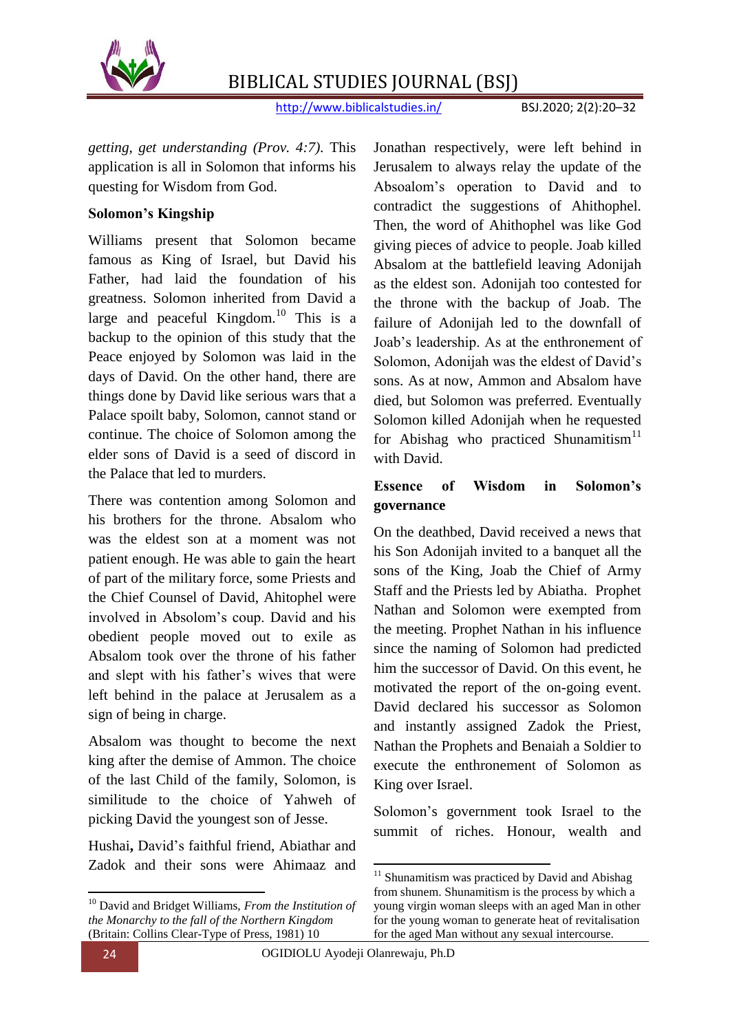

http://www.biblicalstudies.in/ BSJ.2020; 2(2):20–32

*getting, get understanding (Prov. 4:7).* This application is all in Solomon that informs his questing for Wisdom from God.

### **Solomon's Kingship**

Williams present that Solomon became famous as King of Israel, but David his Father, had laid the foundation of his greatness. Solomon inherited from David a large and peaceful Kingdom. $^{10}$  This is a backup to the opinion of this study that the Peace enjoyed by Solomon was laid in the days of David. On the other hand, there are things done by David like serious wars that a Palace spoilt baby, Solomon, cannot stand or continue. The choice of Solomon among the elder sons of David is a seed of discord in the Palace that led to murders.

There was contention among Solomon and his brothers for the throne. Absalom who was the eldest son at a moment was not patient enough. He was able to gain the heart of part of the military force, some Priests and the Chief Counsel of David, Ahitophel were involved in Absolom"s coup. David and his obedient people moved out to exile as Absalom took over the throne of his father and slept with his father"s wives that were left behind in the palace at Jerusalem as a sign of being in charge.

Absalom was thought to become the next king after the demise of Ammon. The choice of the last Child of the family, Solomon, is similitude to the choice of Yahweh of picking David the youngest son of Jesse.

Hushai**,** David"s faithful friend, Abiathar and Zadok and their sons were Ahimaaz and Jonathan respectively, were left behind in Jerusalem to always relay the update of the Absoalom"s operation to David and to contradict the suggestions of Ahithophel. Then, the word of Ahithophel was like God giving pieces of advice to people. Joab killed Absalom at the battlefield leaving Adonijah as the eldest son. Adonijah too contested for the throne with the backup of Joab. The failure of Adonijah led to the downfall of Joab"s leadership. As at the enthronement of Solomon, Adonijah was the eldest of David"s sons. As at now, Ammon and Absalom have died, but Solomon was preferred. Eventually Solomon killed Adonijah when he requested for Abishag who practiced Shunamitism<sup>11</sup> with David.

## **Essence of Wisdom in Solomon's governance**

On the deathbed, David received a news that his Son Adonijah invited to a banquet all the sons of the King, Joab the Chief of Army Staff and the Priests led by Abiatha. Prophet Nathan and Solomon were exempted from the meeting. Prophet Nathan in his influence since the naming of Solomon had predicted him the successor of David. On this event, he motivated the report of the on-going event. David declared his successor as Solomon and instantly assigned Zadok the Priest, Nathan the Prophets and Benaiah a Soldier to execute the enthronement of Solomon as King over Israel.

Solomon"s government took Israel to the summit of riches. Honour, wealth and

1

**.** 

<sup>10</sup> David and Bridget Williams, *From the Institution of the Monarchy to the fall of the Northern Kingdom* (Britain: Collins Clear-Type of Press, 1981) 10

 $11$  Shunamitism was practiced by David and Abishag from shunem. Shunamitism is the process by which a young virgin woman sleeps with an aged Man in other for the young woman to generate heat of revitalisation for the aged Man without any sexual intercourse.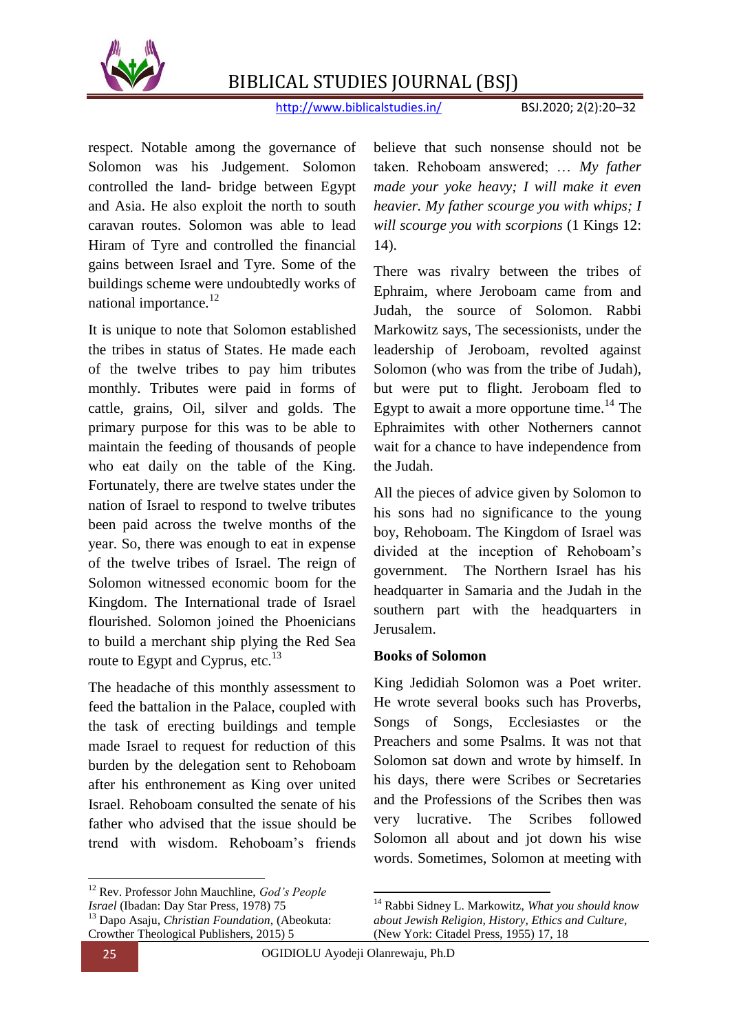

http://www.biblicalstudies.in/ BSJ.2020; 2(2):20–32

respect. Notable among the governance of Solomon was his Judgement. Solomon controlled the land- bridge between Egypt and Asia. He also exploit the north to south caravan routes. Solomon was able to lead Hiram of Tyre and controlled the financial gains between Israel and Tyre. Some of the buildings scheme were undoubtedly works of national importance.<sup>12</sup>

It is unique to note that Solomon established the tribes in status of States. He made each of the twelve tribes to pay him tributes monthly. Tributes were paid in forms of cattle, grains, Oil, silver and golds. The primary purpose for this was to be able to maintain the feeding of thousands of people who eat daily on the table of the King. Fortunately, there are twelve states under the nation of Israel to respond to twelve tributes been paid across the twelve months of the year. So, there was enough to eat in expense of the twelve tribes of Israel. The reign of Solomon witnessed economic boom for the Kingdom. The International trade of Israel flourished. Solomon joined the Phoenicians to build a merchant ship plying the Red Sea route to Egypt and Cyprus, etc.<sup>13</sup>

The headache of this monthly assessment to feed the battalion in the Palace, coupled with the task of erecting buildings and temple made Israel to request for reduction of this burden by the delegation sent to Rehoboam after his enthronement as King over united Israel. Rehoboam consulted the senate of his father who advised that the issue should be trend with wisdom. Rehoboam"s friends

believe that such nonsense should not be taken. Rehoboam answered; … *My father made your yoke heavy; I will make it even heavier. My father scourge you with whips; I will scourge you with scorpions* (1 Kings 12: 14).

There was rivalry between the tribes of Ephraim, where Jeroboam came from and Judah, the source of Solomon. Rabbi Markowitz says, The secessionists, under the leadership of Jeroboam, revolted against Solomon (who was from the tribe of Judah), but were put to flight. Jeroboam fled to Egypt to await a more opportune time.<sup>14</sup> The Ephraimites with other Notherners cannot wait for a chance to have independence from the Judah.

All the pieces of advice given by Solomon to his sons had no significance to the young boy, Rehoboam. The Kingdom of Israel was divided at the inception of Rehoboam"s government. The Northern Israel has his headquarter in Samaria and the Judah in the southern part with the headquarters in Jerusalem.

#### **Books of Solomon**

King Jedidiah Solomon was a Poet writer. He wrote several books such has Proverbs, Songs of Songs, Ecclesiastes or the Preachers and some Psalms. It was not that Solomon sat down and wrote by himself. In his days, there were Scribes or Secretaries and the Professions of the Scribes then was very lucrative. The Scribes followed Solomon all about and jot down his wise words. Sometimes, Solomon at meeting with

<sup>14</sup> Rabbi Sidney L. Markowitz, *What you should know about Jewish Religion, History, Ethics and Culture,*

(New York: Citadel Press, 1955) 17, 18

1

1

<sup>12</sup> Rev. Professor John Mauchline, *God's People Israel* (Ibadan: Day Star Press, 1978) 75 <sup>13</sup> Dapo Asaju, *Christian Foundation,* (Abeokuta: Crowther Theological Publishers, 2015) 5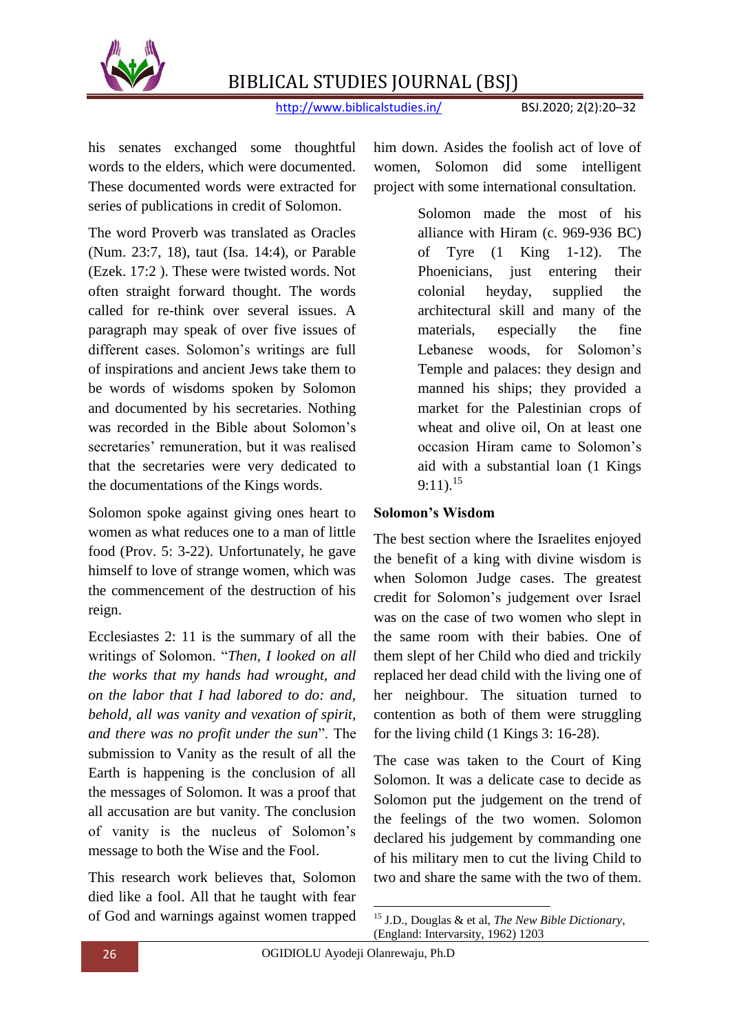

http://www.biblicalstudies.in/ BSJ.2020; 2(2):20–32

his senates exchanged some thoughtful words to the elders, which were documented. These documented words were extracted for series of publications in credit of Solomon.

The word Proverb was translated as Oracles (Num. 23:7, 18), taut (Isa. 14:4), or Parable (Ezek. 17:2 ). These were twisted words. Not often straight forward thought. The words called for re-think over several issues. A paragraph may speak of over five issues of different cases. Solomon"s writings are full of inspirations and ancient Jews take them to be words of wisdoms spoken by Solomon and documented by his secretaries. Nothing was recorded in the Bible about Solomon's secretaries' remuneration, but it was realised that the secretaries were very dedicated to the documentations of the Kings words.

Solomon spoke against giving ones heart to women as what reduces one to a man of little food (Prov. 5: 3-22). Unfortunately, he gave himself to love of strange women, which was the commencement of the destruction of his reign.

Ecclesiastes 2: 11 is the summary of all the writings of Solomon. "*Then, I looked on all the works that my hands had wrought, and on the labor that I had labored to do: and, behold, all was vanity and vexation of spirit, and there was no profit under the sun*". The submission to Vanity as the result of all the Earth is happening is the conclusion of all the messages of Solomon. It was a proof that all accusation are but vanity. The conclusion of vanity is the nucleus of Solomon"s message to both the Wise and the Fool.

This research work believes that, Solomon died like a fool. All that he taught with fear of God and warnings against women trapped him down. Asides the foolish act of love of women, Solomon did some intelligent project with some international consultation.

> Solomon made the most of his alliance with Hiram (c. 969-936 BC) of Tyre (1 King 1-12). The Phoenicians, just entering their colonial heyday, supplied the architectural skill and many of the materials, especially the fine Lebanese woods, for Solomon"s Temple and palaces: they design and manned his ships; they provided a market for the Palestinian crops of wheat and olive oil, On at least one occasion Hiram came to Solomon"s aid with a substantial loan (1 Kings  $9:11$ ).<sup>15</sup>

### **Solomon's Wisdom**

The best section where the Israelites enjoyed the benefit of a king with divine wisdom is when Solomon Judge cases. The greatest credit for Solomon"s judgement over Israel was on the case of two women who slept in the same room with their babies. One of them slept of her Child who died and trickily replaced her dead child with the living one of her neighbour. The situation turned to contention as both of them were struggling for the living child (1 Kings 3: 16-28).

The case was taken to the Court of King Solomon. It was a delicate case to decide as Solomon put the judgement on the trend of the feelings of the two women. Solomon declared his judgement by commanding one of his military men to cut the living Child to two and share the same with the two of them.

<sup>1</sup> <sup>15</sup> J.D., Douglas & et al, *The New Bible Dictionary,* (England: Intervarsity, 1962) 1203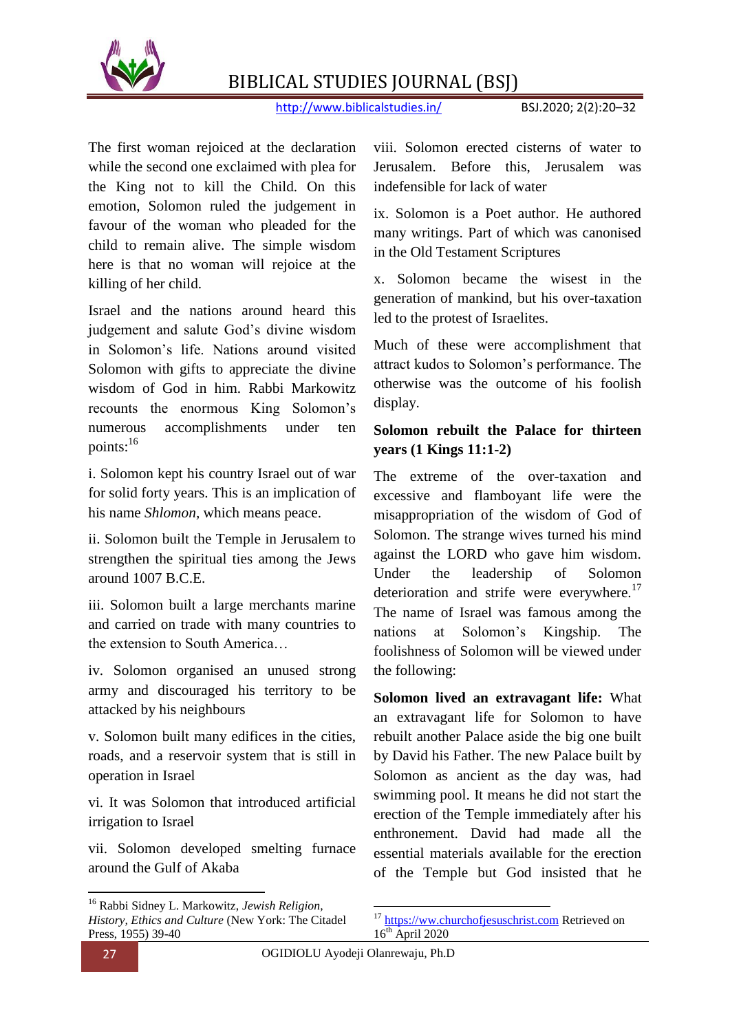

http://www.biblicalstudies.in/ BSJ.2020; 2(2):20–32

The first woman rejoiced at the declaration while the second one exclaimed with plea for the King not to kill the Child. On this emotion, Solomon ruled the judgement in favour of the woman who pleaded for the child to remain alive. The simple wisdom here is that no woman will rejoice at the killing of her child.

Israel and the nations around heard this judgement and salute God"s divine wisdom in Solomon"s life. Nations around visited Solomon with gifts to appreciate the divine wisdom of God in him. Rabbi Markowitz recounts the enormous King Solomon"s numerous accomplishments under ten points:<sup>16</sup>

i. Solomon kept his country Israel out of war for solid forty years. This is an implication of his name *Shlomon,* which means peace.

ii. Solomon built the Temple in Jerusalem to strengthen the spiritual ties among the Jews around 1007 B.C.E.

iii. Solomon built a large merchants marine and carried on trade with many countries to the extension to South America…

iv. Solomon organised an unused strong army and discouraged his territory to be attacked by his neighbours

v. Solomon built many edifices in the cities, roads, and a reservoir system that is still in operation in Israel

vi. It was Solomon that introduced artificial irrigation to Israel

vii. Solomon developed smelting furnace around the Gulf of Akaba

viii. Solomon erected cisterns of water to Jerusalem. Before this, Jerusalem was indefensible for lack of water

ix. Solomon is a Poet author. He authored many writings. Part of which was canonised in the Old Testament Scriptures

x. Solomon became the wisest in the generation of mankind, but his over-taxation led to the protest of Israelites.

Much of these were accomplishment that attract kudos to Solomon"s performance. The otherwise was the outcome of his foolish display.

## **Solomon rebuilt the Palace for thirteen years (1 Kings 11:1-2)**

The extreme of the over-taxation and excessive and flamboyant life were the misappropriation of the wisdom of God of Solomon. The strange wives turned his mind against the LORD who gave him wisdom. Under the leadership of Solomon deterioration and strife were everywhere.<sup>17</sup> The name of Israel was famous among the nations at Solomon"s Kingship. The foolishness of Solomon will be viewed under the following:

**Solomon lived an extravagant life:** What an extravagant life for Solomon to have rebuilt another Palace aside the big one built by David his Father. The new Palace built by Solomon as ancient as the day was, had swimming pool. It means he did not start the erection of the Temple immediately after his enthronement. David had made all the essential materials available for the erection of the Temple but God insisted that he

**.** 

<sup>16</sup> Rabbi Sidney L. Markowitz, *Jewish Religion, History, Ethics and Culture* (New York: The Citadel Press, 1955) 39-40

<sup>1</sup> <sup>17</sup> [https://ww.churchofjesuschrist.com](https://ww.churchofjesuschrist.com/) Retrieved on  $16^{th}$  April 2020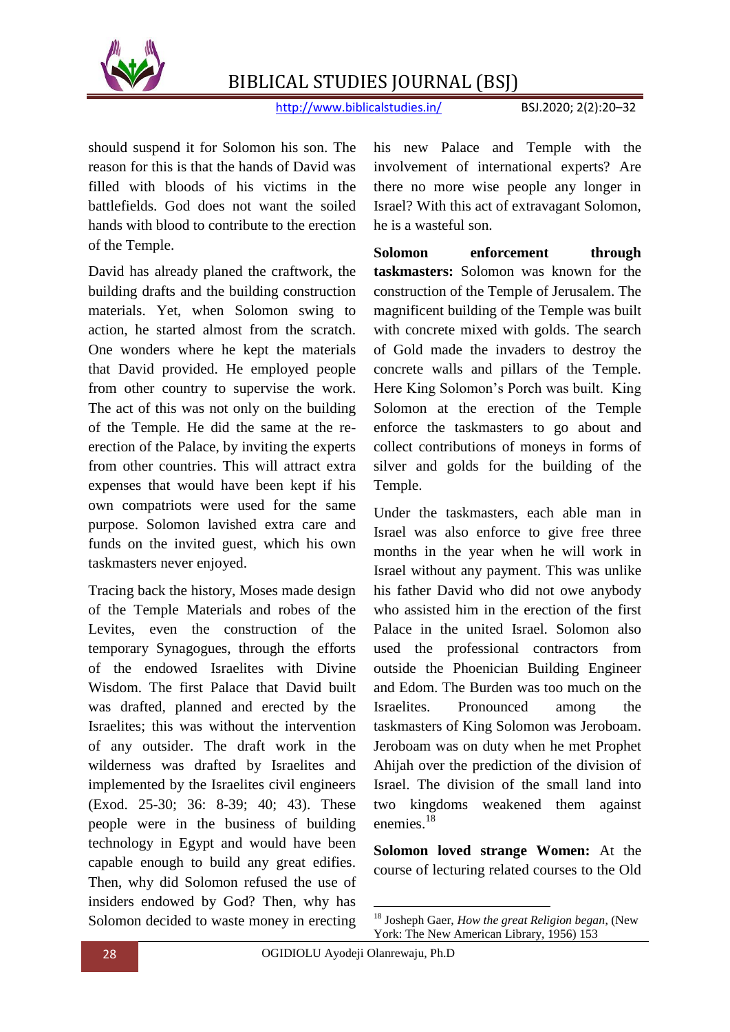

http://www.biblicalstudies.in/ BSJ.2020; 2(2):20–32

should suspend it for Solomon his son. The reason for this is that the hands of David was filled with bloods of his victims in the battlefields. God does not want the soiled hands with blood to contribute to the erection of the Temple.

David has already planed the craftwork, the building drafts and the building construction materials. Yet, when Solomon swing to action, he started almost from the scratch. One wonders where he kept the materials that David provided. He employed people from other country to supervise the work. The act of this was not only on the building of the Temple. He did the same at the reerection of the Palace, by inviting the experts from other countries. This will attract extra expenses that would have been kept if his own compatriots were used for the same purpose. Solomon lavished extra care and funds on the invited guest, which his own taskmasters never enjoyed.

Tracing back the history, Moses made design of the Temple Materials and robes of the Levites, even the construction of the temporary Synagogues, through the efforts of the endowed Israelites with Divine Wisdom. The first Palace that David built was drafted, planned and erected by the Israelites; this was without the intervention of any outsider. The draft work in the wilderness was drafted by Israelites and implemented by the Israelites civil engineers (Exod. 25-30; 36: 8-39; 40; 43). These people were in the business of building technology in Egypt and would have been capable enough to build any great edifies. Then, why did Solomon refused the use of insiders endowed by God? Then, why has Solomon decided to waste money in erecting

his new Palace and Temple with the involvement of international experts? Are there no more wise people any longer in Israel? With this act of extravagant Solomon, he is a wasteful son.

**Solomon enforcement through taskmasters:** Solomon was known for the construction of the Temple of Jerusalem. The magnificent building of the Temple was built with concrete mixed with golds. The search of Gold made the invaders to destroy the concrete walls and pillars of the Temple. Here King Solomon"s Porch was built. King Solomon at the erection of the Temple enforce the taskmasters to go about and collect contributions of moneys in forms of silver and golds for the building of the Temple.

Under the taskmasters, each able man in Israel was also enforce to give free three months in the year when he will work in Israel without any payment. This was unlike his father David who did not owe anybody who assisted him in the erection of the first Palace in the united Israel. Solomon also used the professional contractors from outside the Phoenician Building Engineer and Edom. The Burden was too much on the Israelites. Pronounced among the taskmasters of King Solomon was Jeroboam. Jeroboam was on duty when he met Prophet Ahijah over the prediction of the division of Israel. The division of the small land into two kingdoms weakened them against enemies.<sup>18</sup>

**Solomon loved strange Women:** At the course of lecturing related courses to the Old

<sup>1</sup> <sup>18</sup> Josheph Gaer, *How the great Religion began*, (New York: The New American Library, 1956) 153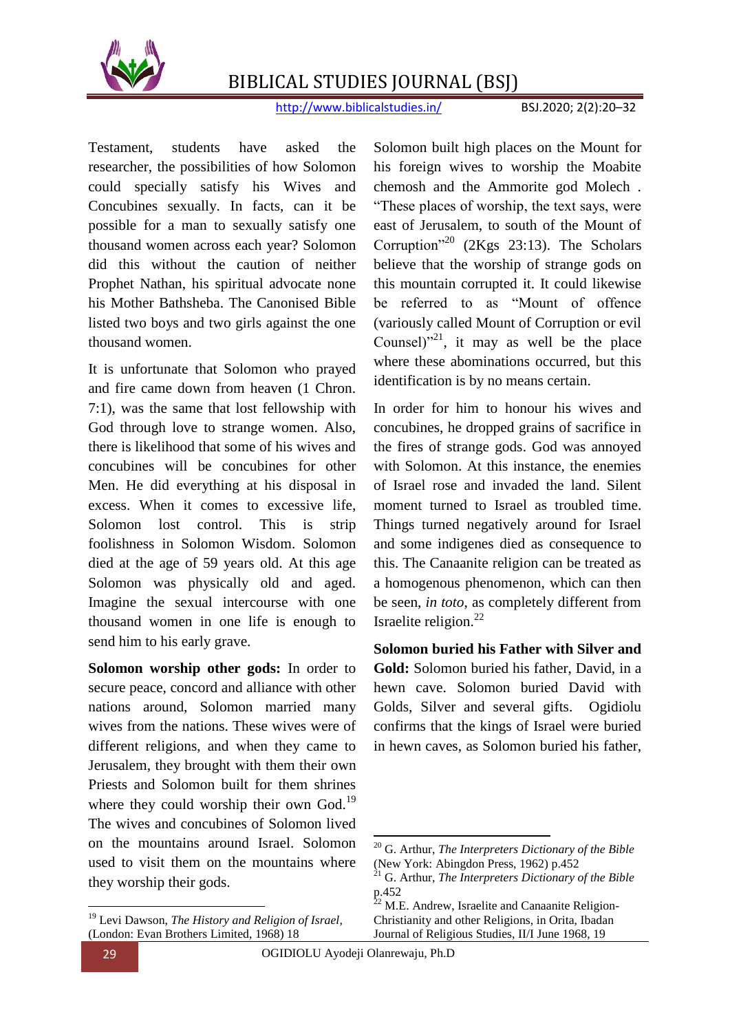

http://www.biblicalstudies.in/ BSJ.2020; 2(2):20–32

Testament, students have asked the researcher, the possibilities of how Solomon could specially satisfy his Wives and Concubines sexually. In facts, can it be possible for a man to sexually satisfy one thousand women across each year? Solomon did this without the caution of neither Prophet Nathan, his spiritual advocate none his Mother Bathsheba. The Canonised Bible listed two boys and two girls against the one thousand women.

It is unfortunate that Solomon who prayed and fire came down from heaven (1 Chron. 7:1), was the same that lost fellowship with God through love to strange women. Also, there is likelihood that some of his wives and concubines will be concubines for other Men. He did everything at his disposal in excess. When it comes to excessive life, Solomon lost control. This is strip foolishness in Solomon Wisdom. Solomon died at the age of 59 years old. At this age Solomon was physically old and aged. Imagine the sexual intercourse with one thousand women in one life is enough to send him to his early grave.

**Solomon worship other gods:** In order to secure peace, concord and alliance with other nations around, Solomon married many wives from the nations. These wives were of different religions, and when they came to Jerusalem, they brought with them their own Priests and Solomon built for them shrines where they could worship their own God.<sup>19</sup> The wives and concubines of Solomon lived on the mountains around Israel. Solomon used to visit them on the mountains where they worship their gods.

Solomon built high places on the Mount for his foreign wives to worship the Moabite chemosh and the Ammorite god Molech . "These places of worship, the text says, were east of Jerusalem, to south of the Mount of Corruption"<sup>20</sup> (2Kgs 23:13). The Scholars believe that the worship of strange gods on this mountain corrupted it. It could likewise be referred to as "Mount of offence (variously called Mount of Corruption or evil Counsel) $n^{21}$ , it may as well be the place where these abominations occurred, but this identification is by no means certain.

In order for him to honour his wives and concubines, he dropped grains of sacrifice in the fires of strange gods. God was annoyed with Solomon. At this instance, the enemies of Israel rose and invaded the land. Silent moment turned to Israel as troubled time. Things turned negatively around for Israel and some indigenes died as consequence to this. The Canaanite religion can be treated as a homogenous phenomenon, which can then be seen, *in toto*, as completely different from Israelite religion.<sup>22</sup>

**Solomon buried his Father with Silver and Gold:** Solomon buried his father, David, in a hewn cave. Solomon buried David with Golds, Silver and several gifts. Ogidiolu confirms that the kings of Israel were buried in hewn caves, as Solomon buried his father,

 $\overline{a}$ 

 $\overline{a}$ 

<sup>19</sup> Levi Dawson, *The History and Religion of Israel*, (London: Evan Brothers Limited, 1968) 18

<sup>20</sup> G. Arthur, *The Interpreters Dictionary of the Bible* (New York: Abingdon Press, 1962) p.452

<sup>21</sup> G. Arthur, *The Interpreters Dictionary of the Bible*  $p.452$ 

M.E. Andrew, Israelite and Canaanite Religion-Christianity and other Religions, in Orita, Ibadan Journal of Religious Studies, II/I June 1968, 19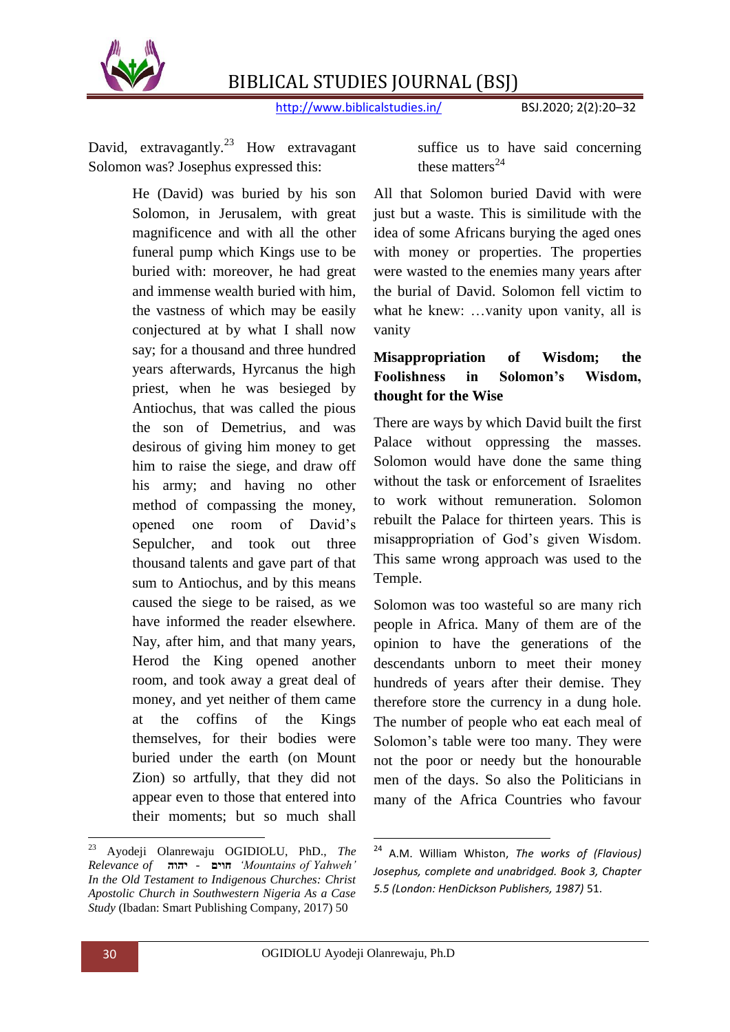

http://www.biblicalstudies.in/ BSJ.2020; 2(2):20-32

David, extravagantly.<sup>23</sup> How extravagant Solomon was? Josephus expressed this:

> He (David) was buried by his son Solomon, in Jerusalem, with great magnificence and with all the other funeral pump which Kings use to be buried with: moreover, he had great and immense wealth buried with him, the vastness of which may be easily conjectured at by what I shall now say; for a thousand and three hundred years afterwards, Hyrcanus the high priest, when he was besieged by Antiochus, that was called the pious the son of Demetrius, and was desirous of giving him money to get him to raise the siege, and draw off his army; and having no other method of compassing the money, opened one room of David"s Sepulcher, and took out three thousand talents and gave part of that sum to Antiochus, and by this means caused the siege to be raised, as we have informed the reader elsewhere. Nay, after him, and that many years, Herod the King opened another room, and took away a great deal of money, and yet neither of them came at the coffins of the Kings themselves, for their bodies were buried under the earth (on Mount Zion) so artfully, that they did not appear even to those that entered into their moments; but so much shall

suffice us to have said concerning these matters $^{24}$ 

All that Solomon buried David with were just but a waste. This is similitude with the idea of some Africans burying the aged ones with money or properties. The properties were wasted to the enemies many years after the burial of David. Solomon fell victim to what he knew: ...vanity upon vanity, all is vanity

## **Misappropriation of Wisdom; the Foolishness in Solomon's Wisdom, thought for the Wise**

There are ways by which David built the first Palace without oppressing the masses. Solomon would have done the same thing without the task or enforcement of Israelites to work without remuneration. Solomon rebuilt the Palace for thirteen years. This is misappropriation of God"s given Wisdom. This same wrong approach was used to the Temple.

Solomon was too wasteful so are many rich people in Africa. Many of them are of the opinion to have the generations of the descendants unborn to meet their money hundreds of years after their demise. They therefore store the currency in a dung hole. The number of people who eat each meal of Solomon's table were too many. They were not the poor or needy but the honourable men of the days. So also the Politicians in many of the Africa Countries who favour

1

 $23\,$ <sup>23</sup> Ayodeji Olanrewaju OGIDIOLU, PhD., *The Relevance of* **יהוה** *-* **חוים***' Mountains of Yahweh' In the Old Testament to Indigenous Churches: Christ Apostolic Church in Southwestern Nigeria As a Case Study* (Ibadan: Smart Publishing Company, 2017) 50

<sup>24</sup> A.M. William Whiston, *The works of (Flavious) Josephus, complete and unabridged. Book 3, Chapter 5.5 (London: HenDickson Publishers, 1987)* 51.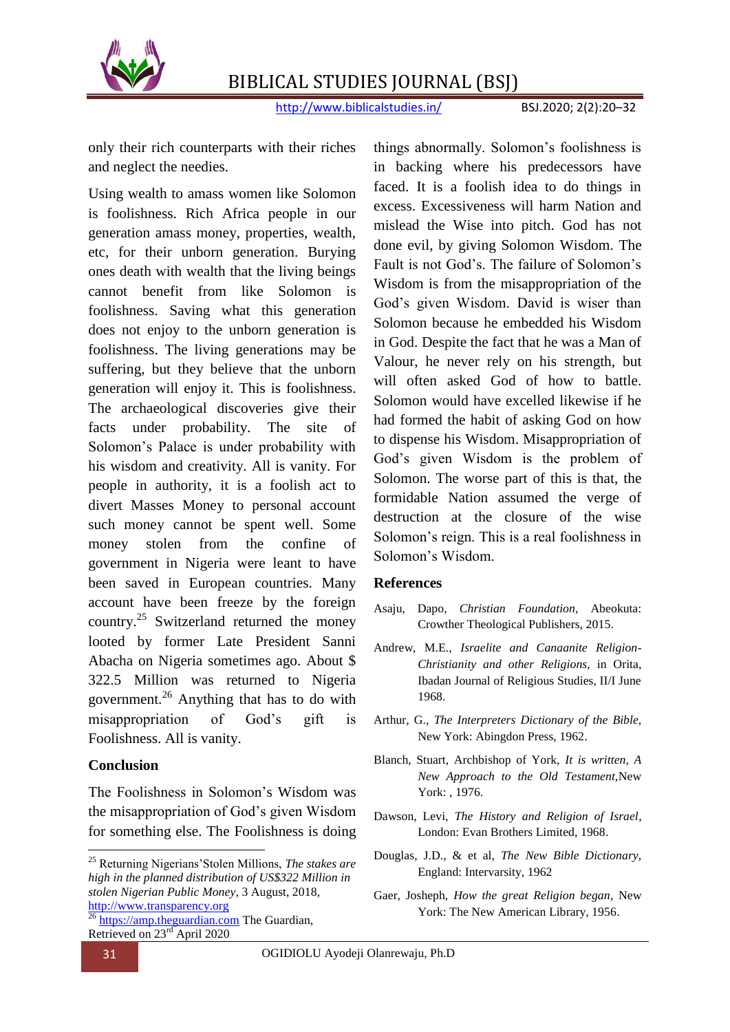

http://www.biblicalstudies.in/ BSJ.2020; 2(2):20–32

only their rich counterparts with their riches and neglect the needies.

Using wealth to amass women like Solomon is foolishness. Rich Africa people in our generation amass money, properties, wealth, etc, for their unborn generation. Burying ones death with wealth that the living beings cannot benefit from like Solomon is foolishness. Saving what this generation does not enjoy to the unborn generation is foolishness. The living generations may be suffering, but they believe that the unborn generation will enjoy it. This is foolishness. The archaeological discoveries give their facts under probability. The site of Solomon"s Palace is under probability with his wisdom and creativity. All is vanity. For people in authority, it is a foolish act to divert Masses Money to personal account such money cannot be spent well. Some money stolen from the confine of government in Nigeria were leant to have been saved in European countries. Many account have been freeze by the foreign country.<sup>25</sup> Switzerland returned the money looted by former Late President Sanni Abacha on Nigeria sometimes ago. About \$ 322.5 Million was returned to Nigeria government.<sup>26</sup> Anything that has to do with misappropriation of God"s gift is Foolishness. All is vanity.

#### **Conclusion**

The Foolishness in Solomon"s Wisdom was the misappropriation of God"s given Wisdom for something else. The Foolishness is doing

things abnormally. Solomon"s foolishness is in backing where his predecessors have faced. It is a foolish idea to do things in excess. Excessiveness will harm Nation and mislead the Wise into pitch. God has not done evil, by giving Solomon Wisdom. The Fault is not God's. The failure of Solomon's Wisdom is from the misappropriation of the God"s given Wisdom. David is wiser than Solomon because he embedded his Wisdom in God. Despite the fact that he was a Man of Valour, he never rely on his strength, but will often asked God of how to battle. Solomon would have excelled likewise if he had formed the habit of asking God on how to dispense his Wisdom. Misappropriation of God's given Wisdom is the problem of Solomon. The worse part of this is that, the formidable Nation assumed the verge of destruction at the closure of the wise Solomon"s reign. This is a real foolishness in Solomon"s Wisdom.

#### **References**

- Asaju, Dapo, *Christian Foundation,* Abeokuta: Crowther Theological Publishers, 2015.
- Andrew, M.E., *Israelite and Canaanite Religion-Christianity and other Religions,* in Orita, Ibadan Journal of Religious Studies, II/I June 1968.
- Arthur, G., *The Interpreters Dictionary of the Bible,*  New York: Abingdon Press, 1962.
- Blanch, Stuart, Archbishop of York, *It is written, A New Approach to the Old Testament,*New York: , 1976.
- Dawson, Levi, *The History and Religion of Israel*, London: Evan Brothers Limited, 1968.
- Douglas, J.D., & et al, *The New Bible Dictionary,* England: Intervarsity, 1962
- Gaer, Josheph, *How the great Religion began*, New York: The New American Library, 1956.

**.** 

<sup>25</sup> Returning Nigerians"Stolen Millions, *The stakes are high in the planned distribution of US\$322 Million in stolen Nigerian Public Money,* 3 August, 2018, [http://www.transparency.org](http://www.transparency.org/)

 $\frac{26 \text{ https://amp.the}$ guardian.com The Guardian, Retrieved on 23rd April 2020